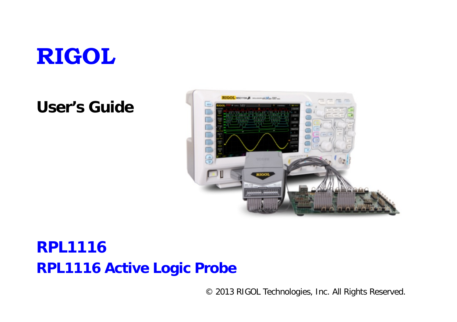

# **User's Guide**



# **RPL1116 RPL1116 Active Logic Probe**

© 2013 RIGOL Technologies, Inc. All Rights Reserved.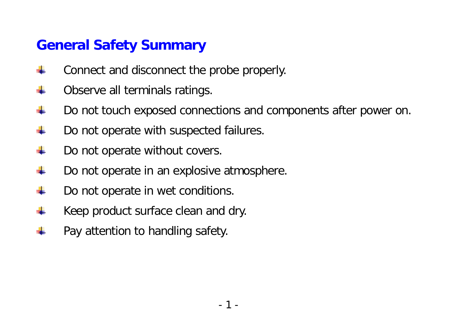#### **General Safety Summary**

- ÷ Connect and disconnect the probe properly.
- ÷ Observe all terminals ratings.
- 4 Do not touch exposed connections and components after power on.
- $\ddot{}$ Do not operate with suspected failures.
- $\ddot{}$ Do not operate without covers.
- Æ. Do not operate in an explosive atmosphere.
- 4 Do not operate in wet conditions.
- Keep product surface clean and dry. ÷
- $\ddot{}$ Pay attention to handling safety.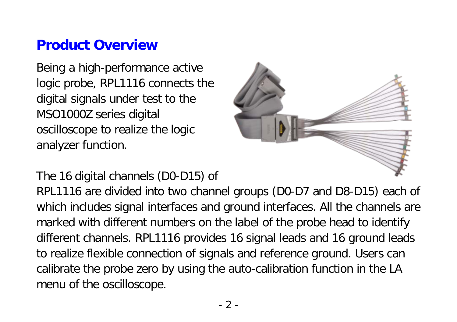#### **Product Overview**

Being a high-performance active logic probe, RPL1116 connects the digital signals under test to the MSO1000Z series digital oscilloscope to realize the logic analyzer function.



The 16 digital channels (D0-D15) of

RPL1116 are divided into two channel groups (D0-D7 and D8-D15) each of which includes signal interfaces and ground interfaces. All the channels are marked with different numbers on the label of the probe head to identify different channels. RPL1116 provides 16 signal leads and 16 ground leads to realize flexible connection of signals and reference ground. Users can calibrate the probe zero by using the auto-calibration function in the LA menu of the oscilloscope.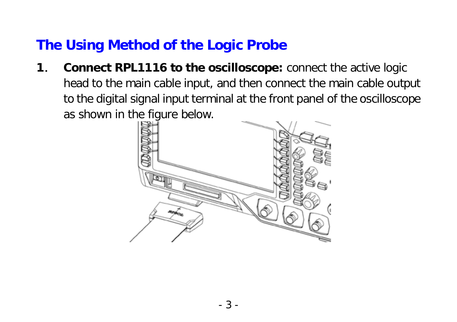# **The Using Method of the Logic Probe**

**1**. **Connect RPL1116 to the oscilloscope:** connect the active logic head to the main cable input, and then connect the main cable output to the digital signal input terminal at the front panel of the oscilloscope as shown in the figure below.

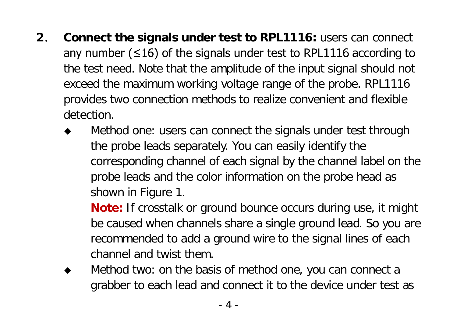- **2**. **Connect the signals under test to RPL1116:** users can connect any number ( $\leq 16$ ) of the signals under test to RPL1116 according to the test need. Note that the amplitude of the input signal should not exceed the maximum working voltage range of the probe. RPL1116 provides two connection methods to realize convenient and flexible detection.
	- Method one: users can connect the signals under test through the probe leads separately. You can easily identify the corresponding channel of each signal by the channel label on the probe leads and the color information on the probe head as shown in Figure 1.

**Note:** If crosstalk or ground bounce occurs during use, it might be caused when channels share a single ground lead. So you are recommended to add a ground wire to the signal lines of each channel and twist them.

 Method two: on the basis of method one, you can connect a grabber to each lead and connect it to the device under test as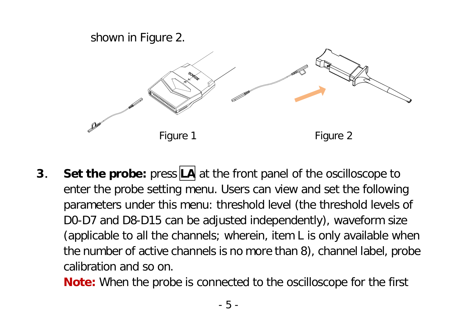

**3.** Set the probe: press LA at the front panel of the oscilloscope to enter the probe setting menu. Users can view and set the following parameters under this menu: threshold level (the threshold levels of D0-D7 and D8-D15 can be adjusted independently), waveform size (applicable to all the channels; wherein, item L is only available when the number of active channels is no more than 8), channel label, probe calibration and so on.

**Note:** When the probe is connected to the oscilloscope for the first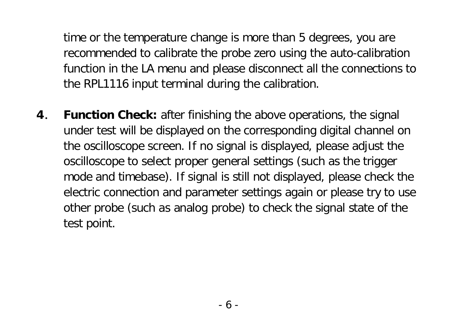time or the temperature change is more than 5 degrees, you are recommended to calibrate the probe zero using the auto-calibration function in the LA menu and please disconnect all the connections to the RPL1116 input terminal during the calibration.

**4**. **Function Check:** after finishing the above operations, the signal under test will be displayed on the corresponding digital channel on the oscilloscope screen. If no signal is displayed, please adjust the oscilloscope to select proper general settings (such as the trigger mode and timebase). If signal is still not displayed, please check the electric connection and parameter settings again or please try to use other probe (such as analog probe) to check the signal state of the test point.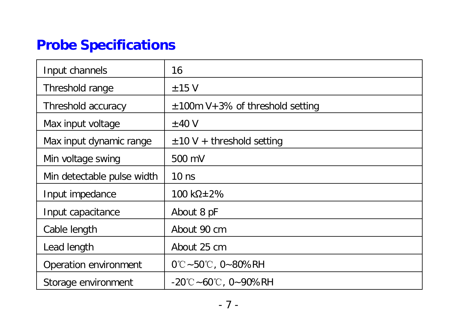# **Probe Specifications**

| Input channels             | 16                                       |
|----------------------------|------------------------------------------|
| Threshold range            | $±15$ V                                  |
| Threshold accuracy         | $\pm$ 100m V + 3% of threshold setting   |
| Max input voltage          | ±40V                                     |
| Max input dynamic range    | $\pm$ 10 V + threshold setting           |
| Min voltage swing          | 500 mV                                   |
| Min detectable pulse width | $10$ ns                                  |
| Input impedance            | 100 kΩ±2%                                |
| Input capacitance          | About 8 pF                               |
| Cable length               | About 90 cm                              |
| Lead length                | About 25 cm                              |
| Operation environment      | $0^{\circ}$ C ~ 50 $^{\circ}$ C, 0~80%RH |
| Storage environment        | -20℃~60℃.0~90%RH                         |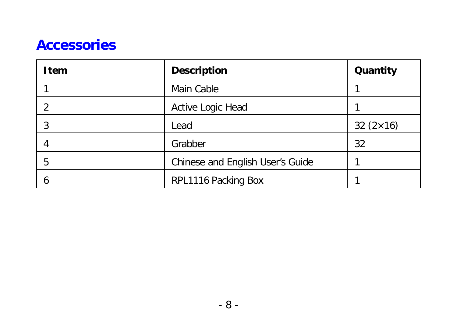#### **Accessories**

| Item | <b>Description</b>               | Quantity        |
|------|----------------------------------|-----------------|
|      | Main Cable                       |                 |
|      | Active Logic Head                |                 |
|      | Lead                             | $32(2\times16)$ |
|      | Grabber                          | 32              |
| 5    | Chinese and English User's Guide |                 |
|      | RPL1116 Packing Box              |                 |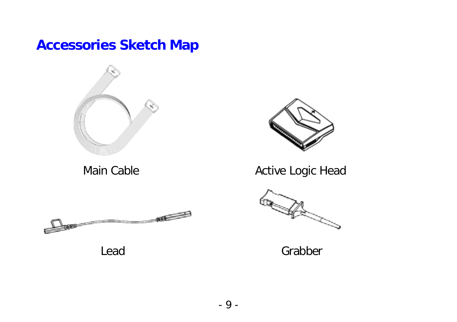# **Accessories Sketch Map**







Main Cable **Active Logic Head** 



Lead Grabber